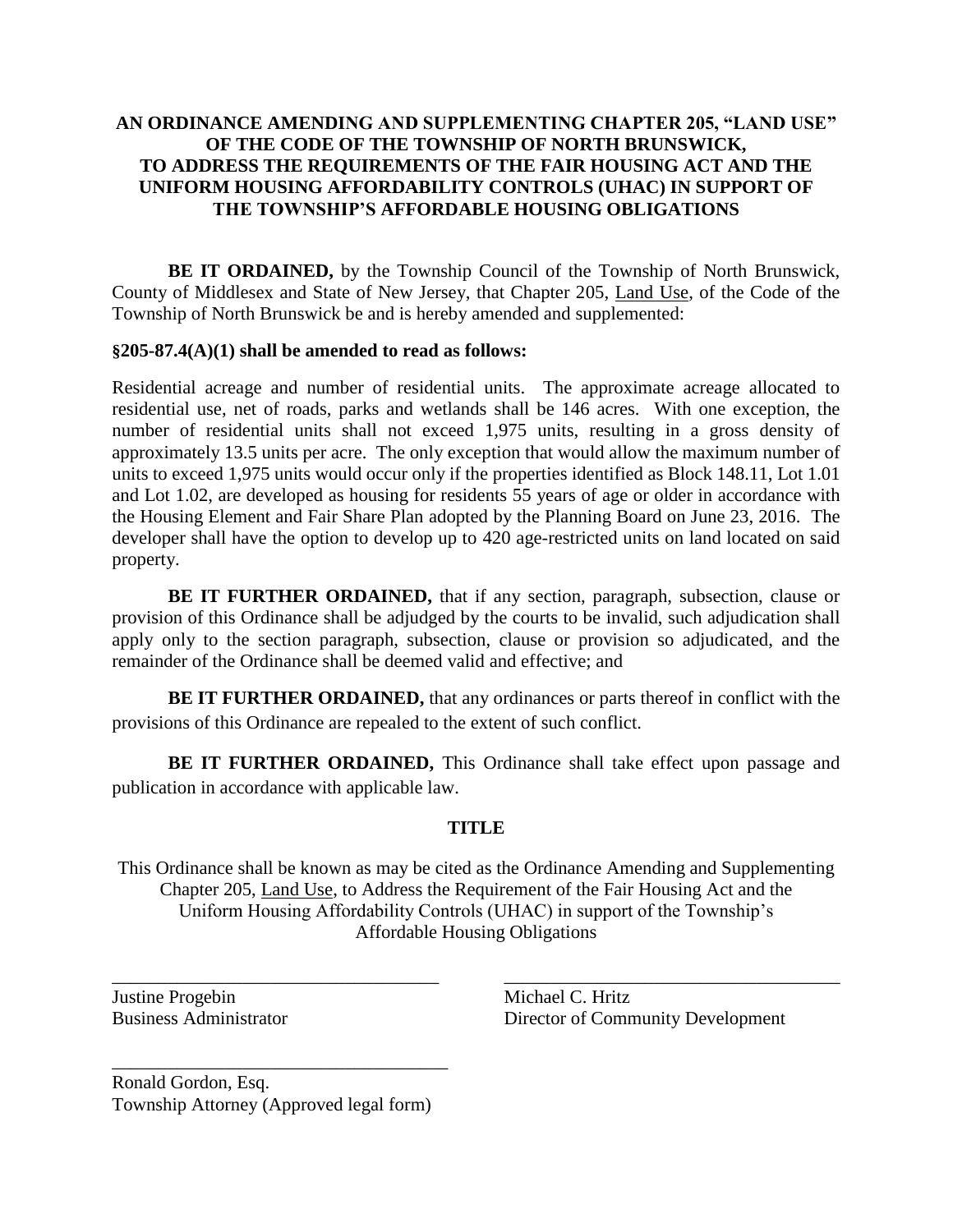## **AN ORDINANCE AMENDING AND SUPPLEMENTING CHAPTER 205, "LAND USE" OF THE CODE OF THE TOWNSHIP OF NORTH BRUNSWICK, TO ADDRESS THE REQUIREMENTS OF THE FAIR HOUSING ACT AND THE UNIFORM HOUSING AFFORDABILITY CONTROLS (UHAC) IN SUPPORT OF THE TOWNSHIP'S AFFORDABLE HOUSING OBLIGATIONS**

**BE IT ORDAINED,** by the Township Council of the Township of North Brunswick, County of Middlesex and State of New Jersey, that Chapter 205, Land Use, of the Code of the Township of North Brunswick be and is hereby amended and supplemented:

#### **§205-87.4(A)(1) shall be amended to read as follows:**

Residential acreage and number of residential units. The approximate acreage allocated to residential use, net of roads, parks and wetlands shall be 146 acres. With one exception, the number of residential units shall not exceed 1,975 units, resulting in a gross density of approximately 13.5 units per acre. The only exception that would allow the maximum number of units to exceed 1,975 units would occur only if the properties identified as Block 148.11, Lot 1.01 and Lot 1.02, are developed as housing for residents 55 years of age or older in accordance with the Housing Element and Fair Share Plan adopted by the Planning Board on June 23, 2016. The developer shall have the option to develop up to 420 age-restricted units on land located on said property.

**BE IT FURTHER ORDAINED,** that if any section, paragraph, subsection, clause or provision of this Ordinance shall be adjudged by the courts to be invalid, such adjudication shall apply only to the section paragraph, subsection, clause or provision so adjudicated, and the remainder of the Ordinance shall be deemed valid and effective; and

**BE IT FURTHER ORDAINED,** that any ordinances or parts thereof in conflict with the provisions of this Ordinance are repealed to the extent of such conflict.

**BE IT FURTHER ORDAINED,** This Ordinance shall take effect upon passage and publication in accordance with applicable law.

#### **TITLE**

This Ordinance shall be known as may be cited as the Ordinance Amending and Supplementing Chapter 205, Land Use, to Address the Requirement of the Fair Housing Act and the Uniform Housing Affordability Controls (UHAC) in support of the Township's Affordable Housing Obligations

\_\_\_\_\_\_\_\_\_\_\_\_\_\_\_\_\_\_\_\_\_\_\_\_\_\_\_\_\_\_\_\_\_\_\_ \_\_\_\_\_\_\_\_\_\_\_\_\_\_\_\_\_\_\_\_\_\_\_\_\_\_\_\_\_\_\_\_\_\_\_\_

Justine Progebin Michael C. Hritz

Business Administrator Director of Community Development

Ronald Gordon, Esq. Township Attorney (Approved legal form)

\_\_\_\_\_\_\_\_\_\_\_\_\_\_\_\_\_\_\_\_\_\_\_\_\_\_\_\_\_\_\_\_\_\_\_\_